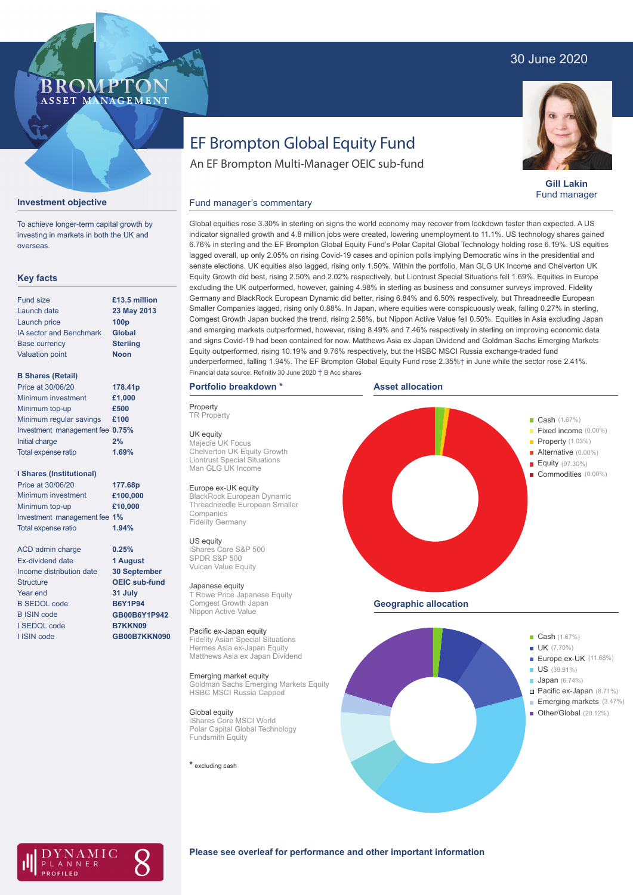## 30 June 2020

### BROMP ASSET MANAGEMENT

# EF Brompton Global Equity Fund

An EF Brompton Multi-Manager OEIC sub-fund



**Gill Lakin** Fund manager

#### **Investment objective**

To achieve longer-term capital growth by investing in markets in both the UK and overseas.

### **Key facts**

| Fund size                      | £13.5 million    |
|--------------------------------|------------------|
| Launch date                    | 23 May 2013      |
| Launch price                   | 100 <sub>p</sub> |
| <b>IA sector and Benchmark</b> | <b>Global</b>    |
| <b>Base currency</b>           | <b>Sterling</b>  |
| <b>Valuation point</b>         | <b>Noon</b>      |
|                                |                  |

#### **B Shares (Retail)**

| Price at 30/06/20               | 178.41p |
|---------------------------------|---------|
| Minimum investment              | £1,000  |
| Minimum top-up                  | £500    |
| Minimum regular savings         | £100    |
| Investment management fee 0.75% |         |
| Initial charge                  | 2%      |
| Total expense ratio             | 1.69%   |
|                                 |         |

#### **I Shares (Institutional)**

| Price at 30/06/20            | 177.68p  |
|------------------------------|----------|
| Minimum investment           | £100,000 |
| Minimum top-up               | £10,000  |
| Investment management fee 1% |          |
| <b>Total expense ratio</b>   | 1.94%    |

ACD admin charge Ex-dividend date Income distribution date **Structure** Year end B SEDOL code B ISIN code I SEDOL code I ISIN code

**0.25% 1 August 30 September OEIC sub-fund 31 July B6Y1P94 GB00B6Y1P942 B7KKN09**

**GB00B7KKN090**

Global equities rose 3.30% in sterling on signs the world economy may recover from lockdown faster than expected. A US indicator signalled growth and 4.8 million jobs were created, lowering unemployment to 11.1%. US technology shares gained 6.76% in sterling and the EF Brompton Global Equity Fund's Polar Capital Global Technology holding rose 6.19%. US equities lagged overall, up only 2.05% on rising Covid-19 cases and opinion polls implying Democratic wins in the presidential and senate elections. UK equities also lagged, rising only 1.50%. Within the portfolio, Man GLG UK Income and Chelverton UK Equity Growth did best, rising 2.50% and 2.02% respectively, but Liontrust Special Situations fell 1.69%. Equities in Europe excluding the UK outperformed, however, gaining 4.98% in sterling as business and consumer surveys improved. Fidelity Germany and BlackRock European Dynamic did better, rising 6.84% and 6.50% respectively, but Threadneedle European Smaller Companies lagged, rising only 0.88%. In Japan, where equities were conspicuously weak, falling 0.27% in sterling, Comgest Growth Japan bucked the trend, rising 2.58%, but Nippon Active Value fell 0.50%. Equities in Asia excluding Japan and emerging markets outperformed, however, rising 8.49% and 7.46% respectively in sterling on improving economic data and signs Covid-19 had been contained for now. Matthews Asia ex Japan Dividend and Goldman Sachs Emerging Markets Equity outperformed, rising 10.19% and 9.76% respectively, but the HSBC MSCI Russia exchange-traded fund underperformed, falling 1.94%. The EF Brompton Global Equity Fund rose 2.35%† in June while the sector rose 2.41%. Financial data source: Refinitiv 30 June 2020 † B Acc shares

### **Portfolio breakdown \***

Fund manager's commentary

**Property TR** Property

UK equity Majedie UK Focus Chelverton UK Equity Growth Liontrust Special Situations Man GLG UK Income

#### Europe ex-UK equity

BlackRock European Dynamic Threadneedle European Smaller Companies Fidelity Germany

US equity iShares Core S&P 500 SPDR S&P 500 Vulcan Value Equity

#### Japanese equity

T Rowe Price Japanese Equity Comgest Growth Japan Nippon Active Value

#### Pacific ex-Japan equity

Fidelity Asian Special Situations Hermes Asia ex-Japan Equity Matthews Asia ex Japan Dividend

Emerging market equity Goldman Sachs Emerging Markets Equity HSBC MSCI Russia Capped

#### Global equity

iShares Core MSCI World Polar Capital Global Technology Fundsmith Equity

**\*** excluding cash







### **Please see overleaf for performance and other important information**